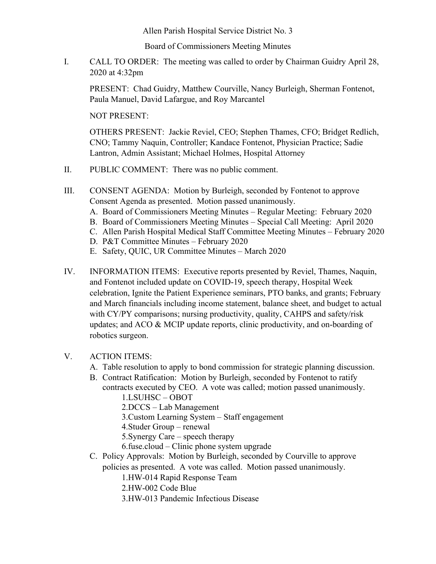Allen Parish Hospital Service District No. 3

Board of Commissioners Meeting Minutes

I. CALL TO ORDER: The meeting was called to order by Chairman Guidry April 28, 2020 at 4:32pm

PRESENT: Chad Guidry, Matthew Courville, Nancy Burleigh, Sherman Fontenot, Paula Manuel, David Lafargue, and Roy Marcantel

NOT PRESENT:

OTHERS PRESENT: Jackie Reviel, CEO; Stephen Thames, CFO; Bridget Redlich, CNO; Tammy Naquin, Controller; Kandace Fontenot, Physician Practice; Sadie Lantron, Admin Assistant; Michael Holmes, Hospital Attorney

- II. PUBLIC COMMENT: There was no public comment.
- III. CONSENT AGENDA: Motion by Burleigh, seconded by Fontenot to approve Consent Agenda as presented. Motion passed unanimously.
	- A. Board of Commissioners Meeting Minutes Regular Meeting: February 2020
	- B. Board of Commissioners Meeting Minutes Special Call Meeting: April 2020
	- C. Allen Parish Hospital Medical Staff Committee Meeting Minutes February 2020
	- D. P&T Committee Minutes February 2020
	- E. Safety, QUIC, UR Committee Minutes March 2020
- IV. INFORMATION ITEMS: Executive reports presented by Reviel, Thames, Naquin, and Fontenot included update on COVID-19, speech therapy, Hospital Week celebration, Ignite the Patient Experience seminars, PTO banks, and grants; February and March financials including income statement, balance sheet, and budget to actual with CY/PY comparisons; nursing productivity, quality, CAHPS and safety/risk updates; and ACO & MCIP update reports, clinic productivity, and on-boarding of robotics surgeon.

## V. ACTION ITEMS:

- A. Table resolution to apply to bond commission for strategic planning discussion.
- B. Contract Ratification: Motion by Burleigh, seconded by Fontenot to ratify

contracts executed by CEO. A vote was called; motion passed unanimously. 1.LSUHSC – OBOT

2.DCCS – Lab Management

3.Custom Learning System – Staff engagement

4.Studer Group – renewal

- 5.Synergy Care speech therapy
- 6.fuse.cloud Clinic phone system upgrade
- C. Policy Approvals: Motion by Burleigh, seconded by Courville to approve policies as presented. A vote was called. Motion passed unanimously.

1.HW-014 Rapid Response Team

- 2.HW-002 Code Blue
- 3.HW-013 Pandemic Infectious Disease